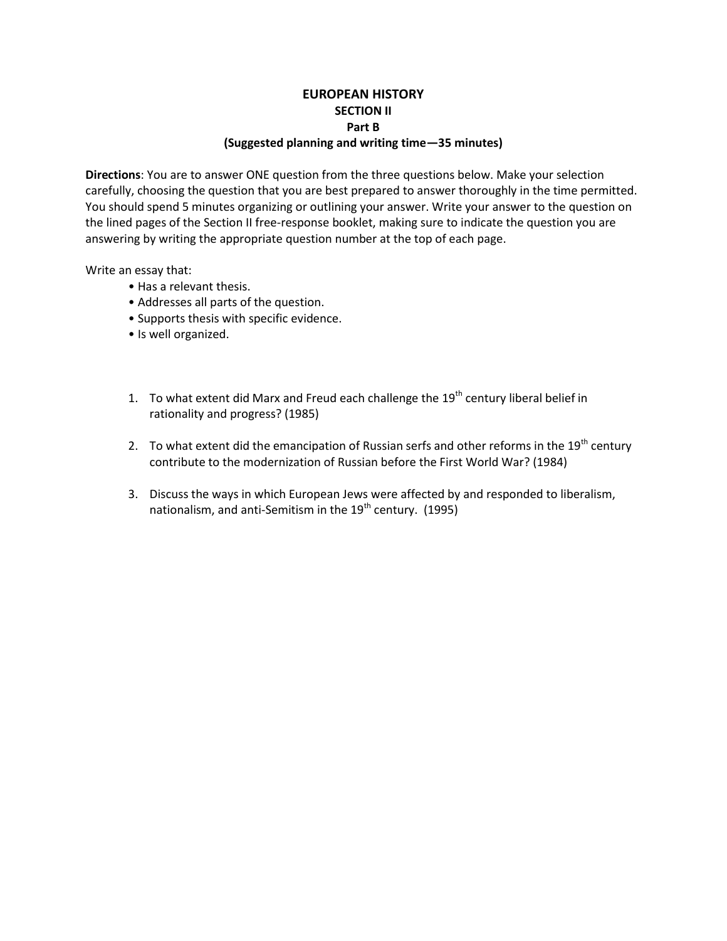## **EUROPEAN HISTORY SECTION II Part B (Suggested planning and writing time—35 minutes)**

**Directions**: You are to answer ONE question from the three questions below. Make your selection carefully, choosing the question that you are best prepared to answer thoroughly in the time permitted. You should spend 5 minutes organizing or outlining your answer. Write your answer to the question on the lined pages of the Section II free-response booklet, making sure to indicate the question you are answering by writing the appropriate question number at the top of each page.

Write an essay that:

- Has a relevant thesis.
- Addresses all parts of the question.
- Supports thesis with specific evidence.
- Is well organized.
- 1. To what extent did Marx and Freud each challenge the  $19<sup>th</sup>$  century liberal belief in rationality and progress? (1985)
- 2. To what extent did the emancipation of Russian serfs and other reforms in the  $19<sup>th</sup>$  century contribute to the modernization of Russian before the First World War? (1984)
- 3. Discuss the ways in which European Jews were affected by and responded to liberalism, nationalism, and anti-Semitism in the 19<sup>th</sup> century. (1995)